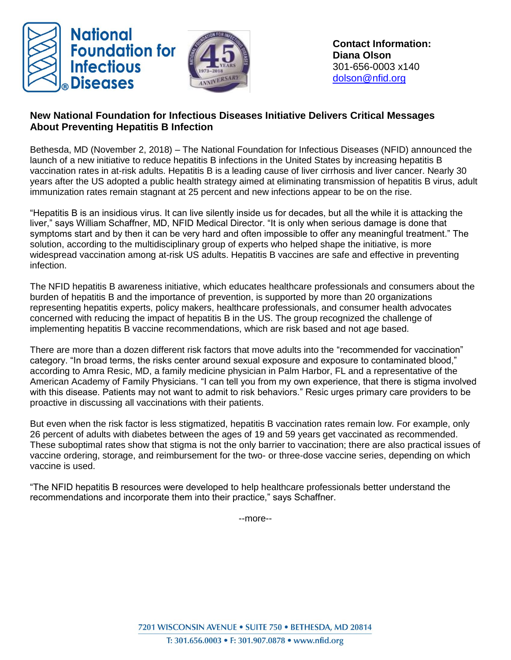



## **New National Foundation for Infectious Diseases Initiative Delivers Critical Messages About Preventing Hepatitis B Infection**

Bethesda, MD (November 2, 2018) – The National Foundation for Infectious Diseases (NFID) announced the launch of a new initiative to reduce hepatitis B infections in the United States by increasing hepatitis B vaccination rates in at-risk adults. Hepatitis B is a leading cause of liver cirrhosis and liver cancer. Nearly 30 years after the US adopted a public health strategy aimed at eliminating transmission of hepatitis B virus, adult immunization rates remain stagnant at 25 percent and new infections appear to be on the rise.

"Hepatitis B is an insidious virus. It can live silently inside us for decades, but all the while it is attacking the liver," says William Schaffner, MD, NFID Medical Director. "It is only when serious damage is done that symptoms start and by then it can be very hard and often impossible to offer any meaningful treatment." The solution, according to the multidisciplinary group of experts who helped shape the initiative, is more widespread vaccination among at-risk US adults. Hepatitis B vaccines are safe and effective in preventing infection.

The NFID hepatitis B awareness initiative, which educates healthcare professionals and consumers about the burden of hepatitis B and the importance of prevention, is supported by more than 20 organizations representing hepatitis experts, policy makers, healthcare professionals, and consumer health advocates concerned with reducing the impact of hepatitis B in the US. The group recognized the challenge of implementing hepatitis B vaccine recommendations, which are risk based and not age based.

There are more than a dozen different risk factors that move adults into the "recommended for vaccination" category. "In broad terms, the risks center around sexual exposure and exposure to contaminated blood," according to Amra Resic, MD, a family medicine physician in Palm Harbor, FL and a representative of the American Academy of Family Physicians. "I can tell you from my own experience, that there is stigma involved with this disease. Patients may not want to admit to risk behaviors." Resic urges primary care providers to be proactive in discussing all vaccinations with their patients.

But even when the risk factor is less stigmatized, hepatitis B vaccination rates remain low. For example, only 26 percent of adults with diabetes between the ages of 19 and 59 years get vaccinated as recommended. These suboptimal rates show that stigma is not the only barrier to vaccination; there are also practical issues of vaccine ordering, storage, and reimbursement for the two- or three-dose vaccine series, depending on which vaccine is used.

"The NFID hepatitis B resources were developed to help healthcare professionals better understand the recommendations and incorporate them into their practice," says Schaffner.

--more--